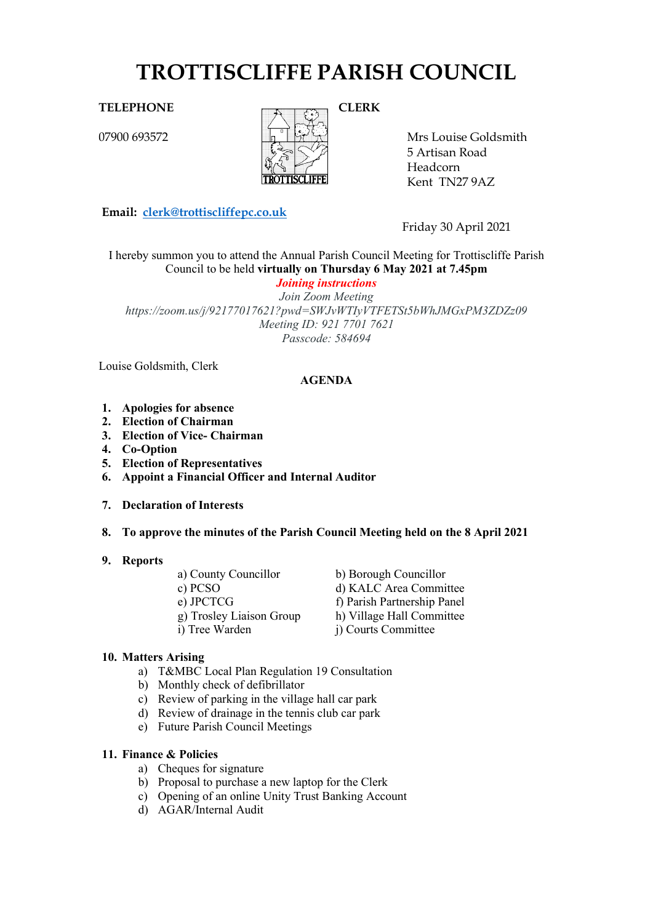# **TROTTISCLIFFE PARISH COUNCIL**

07900 693572



Mrs Louise Goldsmith 5 Artisan Road Headcorn

Kent TN27 9AZ

**Email: [clerk@trottiscliffepc.co.uk](mailto:clerk@trottiscliffepc.co.uk)**

Friday 30 April 2021

I hereby summon you to attend the Annual Parish Council Meeting for Trottiscliffe Parish Council to be held **virtually on Thursday 6 May 2021 at 7.45pm**

*Joining instructions*

*Join Zoom Meeting https://zoom.us/j/92177017621?pwd=SWJvWTIyVTFETSt5bWhJMGxPM3ZDZz09 Meeting ID: 921 7701 7621 Passcode: 584694*

Louise Goldsmith, Clerk

# **AGENDA**

- **1. Apologies for absence**
- **2. Election of Chairman**
- **3. Election of Vice- Chairman**
- **4. Co-Option**
- **5. Election of Representatives**
- **6. Appoint a Financial Officer and Internal Auditor**
- **7. Declaration of Interests**
- **8. To approve the minutes of the Parish Council Meeting held on the 8 April 2021**
- **9. Reports**
- a) County Councillor b) Borough Councillor c) PCSO d) KALC Area Committee e) JPCTCG f) Parish Partnership Panel g) Trosley Liaison Group h) Village Hall Committee<br>i) Tree Warden i) Courts Committee i) Courts Committee

# **10. Matters Arising**

- a) T&MBC Local Plan Regulation 19 Consultation
- b) Monthly check of defibrillator
- c) Review of parking in the village hall car park
- d) Review of drainage in the tennis club car park
- e) Future Parish Council Meetings

#### **11. Finance & Policies**

- a) Cheques for signature
- b) Proposal to purchase a new laptop for the Clerk
- c) Opening of an online Unity Trust Banking Account
- d) AGAR/Internal Audit